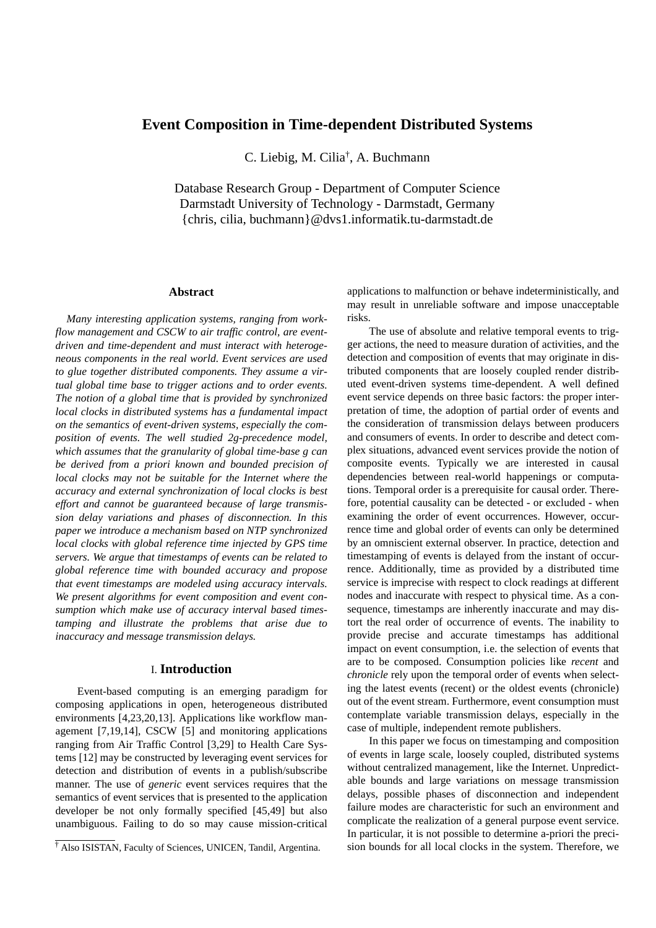# **Event Composition in Time-dependent Distributed Systems**

C. Liebig, M. Cilia † , A. Buchmann

Database Research Group - Department of Computer Science Darmstadt University of Technology - Darmstadt, Germany {chris, cilia, buchmann}@dvs1.informatik.tu-darmstadt.de

## **Abstract**

*Many interesting application systems, ranging from workflow management and CSCW to air traffic control, are eventdriven and time-dependent and must interact with heterogeneous components in the real world. Event services are used to glue together distributed components. They assume a virtual global time base to trigger actions and to order events. The notion of a global time that is provided by synchronized local clocks in distributed systems has a fundamental impact on the semantics of event-driven systems, especially the composition of events. The well studied 2g-precedence model, which assumes that the granularity of global time-base g can be derived from a priori known and bounded precision of local clocks may not be suitable for the Internet where the accuracy and external synchronization of local clocks is best effort and cannot be guaranteed because of large transmission delay variations and phases of disconnection. In this paper we introduce a mechanism based on NTP synchronized local clocks with global reference time injected by GPS time servers. We argue that timestamps of events can be related to global reference time with bounded accuracy and propose that event timestamps are modeled using accuracy intervals. We present algorithms for event composition and event consumption which make use of accuracy interval based timestamping and illustrate the problems that arise due to inaccuracy and message transmission delays.*

# I. **Introduction**

Event-based computing is an emerging paradigm for composing applications in open, heterogeneous distributed environments [4,23,20,13]. Applications like workflow management [7,19,14], CSCW [5] and monitoring applications ranging from Air Traffic Control [3,29] to Health Care Systems [12] may be constructed by leveraging event services for detection and distribution of events in a publish/subscribe manner. The use of *generic* event services requires that the semantics of event services that is presented to the application developer be not only formally specified [45,49] but also unambiguous. Failing to do so may cause mission-critical applications to malfunction or behave indeterministically, and may result in unreliable software and impose unacceptable risks.

The use of absolute and relative temporal events to trigger actions, the need to measure duration of activities, and the detection and composition of events that may originate in distributed components that are loosely coupled render distributed event-driven systems time-dependent. A well defined event service depends on three basic factors: the proper interpretation of time, the adoption of partial order of events and the consideration of transmission delays between producers and consumers of events. In order to describe and detect complex situations, advanced event services provide the notion of composite events. Typically we are interested in causal dependencies between real-world happenings or computations. Temporal order is a prerequisite for causal order. Therefore, potential causality can be detected - or excluded - when examining the order of event occurrences. However, occurrence time and global order of events can only be determined by an omniscient external observer. In practice, detection and timestamping of events is delayed from the instant of occurrence. Additionally, time as provided by a distributed time service is imprecise with respect to clock readings at different nodes and inaccurate with respect to physical time. As a consequence, timestamps are inherently inaccurate and may distort the real order of occurrence of events. The inability to provide precise and accurate timestamps has additional impact on event consumption, i.e. the selection of events that are to be composed. Consumption policies like *recent* and *chronicle* rely upon the temporal order of events when selecting the latest events (recent) or the oldest events (chronicle) out of the event stream. Furthermore, event consumption must contemplate variable transmission delays, especially in the case of multiple, independent remote publishers.

In this paper we focus on timestamping and composition of events in large scale, loosely coupled, distributed systems without centralized management, like the Internet. Unpredictable bounds and large variations on message transmission delays, possible phases of disconnection and independent failure modes are characteristic for such an environment and complicate the realization of a general purpose event service. In particular, it is not possible to determine a-priori the precision bounds for all local clocks in the system. Therefore, we

<sup>†</sup> Also ISISTAN, Faculty of Sciences, UNICEN, Tandil, Argentina.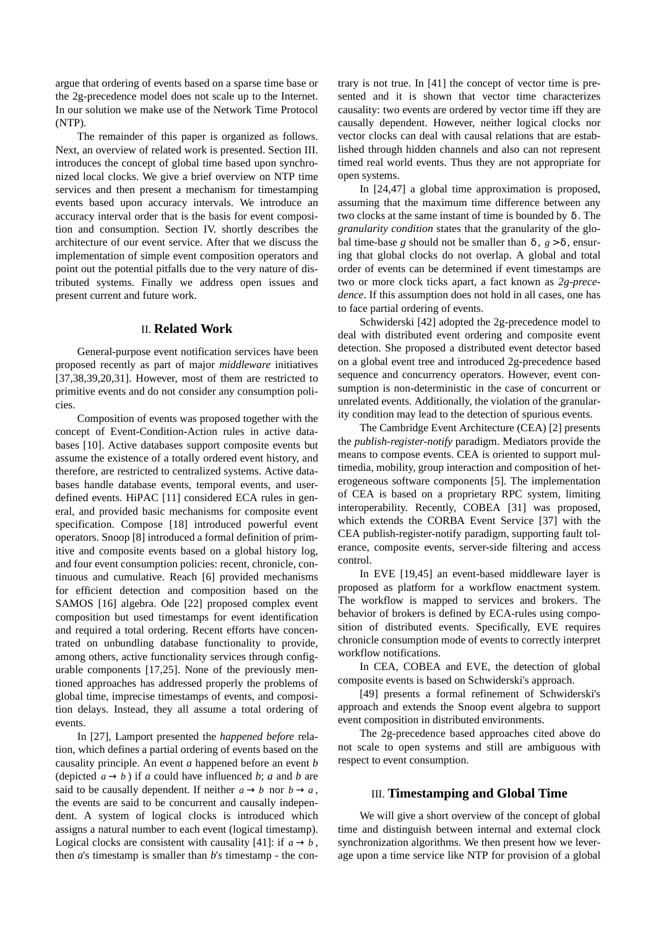argue that ordering of events based on a sparse time base or the 2g-precedence model does not scale up to the Internet. In our solution we make use of the Network Time Protocol (NTP).

The remainder of this paper is organized as follows. Next, an overview of related work is presented. Section III. introduces the concept of global time based upon synchronized local clocks. We give a brief overview on NTP time services and then present a mechanism for timestamping events based upon accuracy intervals. We introduce an accuracy interval order that is the basis for event composition and consumption. Section IV. shortly describes the architecture of our event service. After that we discuss the implementation of simple event composition operators and point out the potential pitfalls due to the very nature of distributed systems. Finally we address open issues and present current and future work.

# II. **Related Work**

General-purpose event notification services have been proposed recently as part of major *middleware* initiatives [37,38,39,20,31]. However, most of them are restricted to primitive events and do not consider any consumption policies.

Composition of events was proposed together with the concept of Event-Condition-Action rules in active databases [10]. Active databases support composite events but assume the existence of a totally ordered event history, and therefore, are restricted to centralized systems. Active databases handle database events, temporal events, and userdefined events. HiPAC [11] considered ECA rules in general, and provided basic mechanisms for composite event specification. Compose [18] introduced powerful event operators. Snoop [8] introduced a formal definition of primitive and composite events based on a global history log, and four event consumption policies: recent, chronicle, continuous and cumulative. Reach [6] provided mechanisms for efficient detection and composition based on the SAMOS [16] algebra. Ode [22] proposed complex event composition but used timestamps for event identification and required a total ordering. Recent efforts have concentrated on unbundling database functionality to provide, among others, active functionality services through configurable components [17,25]. None of the previously mentioned approaches has addressed properly the problems of global time, imprecise timestamps of events, and composition delays. Instead, they all assume a total ordering of events.

In [27], Lamport presented the *happened before* relation, which defines a partial ordering of events based on the causality principle. An event *a* happened before an event *b* (depicted  $a \rightarrow b$ ) if *a* could have influenced *b*; *a* and *b* are said to be causally dependent. If neither  $a \rightarrow b$  nor  $b \rightarrow a$ , the events are said to be concurrent and causally independent. A system of logical clocks is introduced which assigns a natural number to each event (logical timestamp). Logical clocks are consistent with causality [41]: if  $a \rightarrow b$ , then *a*'s timestamp is smaller than *b*'*s* timestamp - the contrary is not true. In [41] the concept of vector time is presented and it is shown that vector time characterizes causality: two events are ordered by vector time iff they are causally dependent. However, neither logical clocks nor vector clocks can deal with causal relations that are established through hidden channels and also can not represent timed real world events. Thus they are not appropriate for open systems.

In [24,47] a global time approximation is proposed, assuming that the maximum time difference between any two clocks at the same instant of time is bounded by  $\delta$ . The *granularity condition* states that the granularity of the global time-base *g* should not be smaller than  $\delta$ ,  $g > \delta$ , ensuring that global clocks do not overlap. A global and total order of events can be determined if event timestamps are two or more clock ticks apart, a fact known as *2g-precedence*. If this assumption does not hold in all cases, one has to face partial ordering of events.

Schwiderski [42] adopted the 2g-precedence model to deal with distributed event ordering and composite event detection. She proposed a distributed event detector based on a global event tree and introduced 2g-precedence based sequence and concurrency operators. However, event consumption is non-deterministic in the case of concurrent or unrelated events. Additionally, the violation of the granularity condition may lead to the detection of spurious events.

The Cambridge Event Architecture (CEA) [2] presents the *publish*-*register*-*notify* paradigm. Mediators provide the means to compose events. CEA is oriented to support multimedia, mobility, group interaction and composition of heterogeneous software components [5]. The implementation of CEA is based on a proprietary RPC system, limiting interoperability. Recently, COBEA [31] was proposed, which extends the CORBA Event Service [37] with the CEA publish-register-notify paradigm, supporting fault tolerance, composite events, server-side filtering and access control.

In EVE [19,45] an event-based middleware layer is proposed as platform for a workflow enactment system. The workflow is mapped to services and brokers. The behavior of brokers is defined by ECA-rules using composition of distributed events. Specifically, EVE requires chronicle consumption mode of events to correctly interpret workflow notifications.

In CEA, COBEA and EVE, the detection of global composite events is based on Schwiderski's approach.

[49] presents a formal refinement of Schwiderski's approach and extends the Snoop event algebra to support event composition in distributed environments.

The 2g-precedence based approaches cited above do not scale to open systems and still are ambiguous with respect to event consumption.

#### III. **Timestamping and Global Time**

We will give a short overview of the concept of global time and distinguish between internal and external clock synchronization algorithms. We then present how we leverage upon a time service like NTP for provision of a global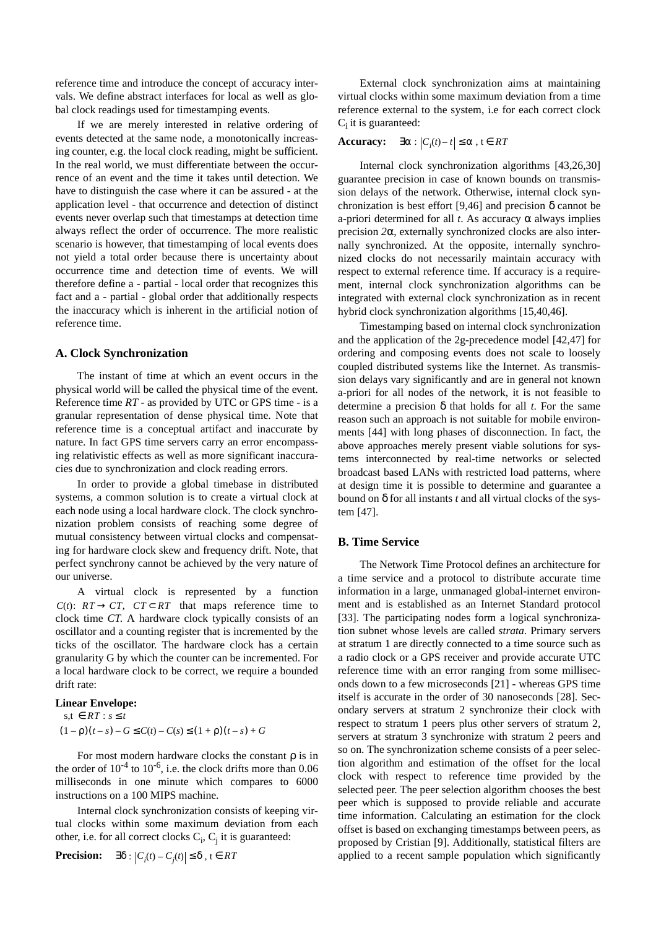reference time and introduce the concept of accuracy intervals. We define abstract interfaces for local as well as global clock readings used for timestamping events.

If we are merely interested in relative ordering of events detected at the same node, a monotonically increasing counter, e.g. the local clock reading, might be sufficient. In the real world, we must differentiate between the occurrence of an event and the time it takes until detection. We have to distinguish the case where it can be assured - at the application level - that occurrence and detection of distinct events never overlap such that timestamps at detection time always reflect the order of occurrence. The more realistic scenario is however, that timestamping of local events does not yield a total order because there is uncertainty about occurrence time and detection time of events. We will therefore define a - partial - local order that recognizes this fact and a - partial - global order that additionally respects the inaccuracy which is inherent in the artificial notion of reference time.

#### **A. Clock Synchronization**

The instant of time at which an event occurs in the physical world will be called the physical time of the event. Reference time *RT -* as provided by UTC or GPS time - is a granular representation of dense physical time. Note that reference time is a conceptual artifact and inaccurate by nature. In fact GPS time servers carry an error encompassing relativistic effects as well as more significant inaccuracies due to synchronization and clock reading errors.

In order to provide a global timebase in distributed systems, a common solution is to create a virtual clock at each node using a local hardware clock. The clock synchronization problem consists of reaching some degree of mutual consistency between virtual clocks and compensating for hardware clock skew and frequency drift. Note, that perfect synchrony cannot be achieved by the very nature of our universe.

A virtual clock is represented by a function  $C(t)$ :  $RT \rightarrow CT$ ,  $CT \subset RT$  that maps reference time to clock time *CT*. A hardware clock typically consists of an oscillator and a counting register that is incremented by the ticks of the oscillator. The hardware clock has a certain granularity G by which the counter can be incremented. For a local hardware clock to be correct, we require a bounded drift rate:

## **Linear Envelope:**

s,t ∈  $RT$  :  $s \leq t$  $(1 - \rho)(t - s) - G \leq C(t) - C(s) \leq (1 + \rho)(t - s) + G$ 

For most modern hardware clocks the constant  $\rho$  is in the order of  $10^{-4}$  to  $10^{-6}$ , i.e. the clock drifts more than 0.06 milliseconds in one minute which compares to 6000 instructions on a 100 MIPS machine.

Internal clock synchronization consists of keeping virtual clocks within some maximum deviation from each other, i.e. for all correct clocks  $C_i$ ,  $C_j$  it is guaranteed:

**Precision:** 
$$
\exists \delta : |C_i(t) - C_j(t)| \le \delta, t \in RT
$$

External clock synchronization aims at maintaining virtual clocks within some maximum deviation from a time reference external to the system, i.e for each correct clock  $C_i$  it is guaranteed:

# **Accuracy:**  $\exists \alpha : |C_i(t) - t| \leq \alpha$ ,  $t \in RT$

Internal clock synchronization algorithms [43,26,30] guarantee precision in case of known bounds on transmission delays of the network. Otherwise, internal clock synchronization is best effort [9,46] and precision δ cannot be a-priori determined for all *t*. As accuracy α always implies precision *2*α, externally synchronized clocks are also internally synchronized. At the opposite, internally synchronized clocks do not necessarily maintain accuracy with respect to external reference time. If accuracy is a requirement, internal clock synchronization algorithms can be integrated with external clock synchronization as in recent hybrid clock synchronization algorithms [15,40,46].

Timestamping based on internal clock synchronization and the application of the 2g-precedence model [42,47] for ordering and composing events does not scale to loosely coupled distributed systems like the Internet. As transmission delays vary significantly and are in general not known a-priori for all nodes of the network, it is not feasible to determine a precision δ that holds for all *t*. For the same reason such an approach is not suitable for mobile environments [44] with long phases of disconnection. In fact, the above approaches merely present viable solutions for systems interconnected by real-time networks or selected broadcast based LANs with restricted load patterns, where at design time it is possible to determine and guarantee a bound on δ for all instants *t* and all virtual clocks of the system [47].

## **B. Time Service**

The Network Time Protocol defines an architecture for a time service and a protocol to distribute accurate time information in a large, unmanaged global-internet environment and is established as an Internet Standard protocol [33]. The participating nodes form a logical synchronization subnet whose levels are called *strata*. Primary servers at stratum 1 are directly connected to a time source such as a radio clock or a GPS receiver and provide accurate UTC reference time with an error ranging from some milliseconds down to a few microseconds [21] - whereas GPS time itself is accurate in the order of 30 nanoseconds [28]. Secondary servers at stratum 2 synchronize their clock with respect to stratum 1 peers plus other servers of stratum 2, servers at stratum 3 synchronize with stratum 2 peers and so on. The synchronization scheme consists of a peer selection algorithm and estimation of the offset for the local clock with respect to reference time provided by the selected peer. The peer selection algorithm chooses the best peer which is supposed to provide reliable and accurate time information. Calculating an estimation for the clock offset is based on exchanging timestamps between peers, as proposed by Cristian [9]. Additionally, statistical filters are applied to a recent sample population which significantly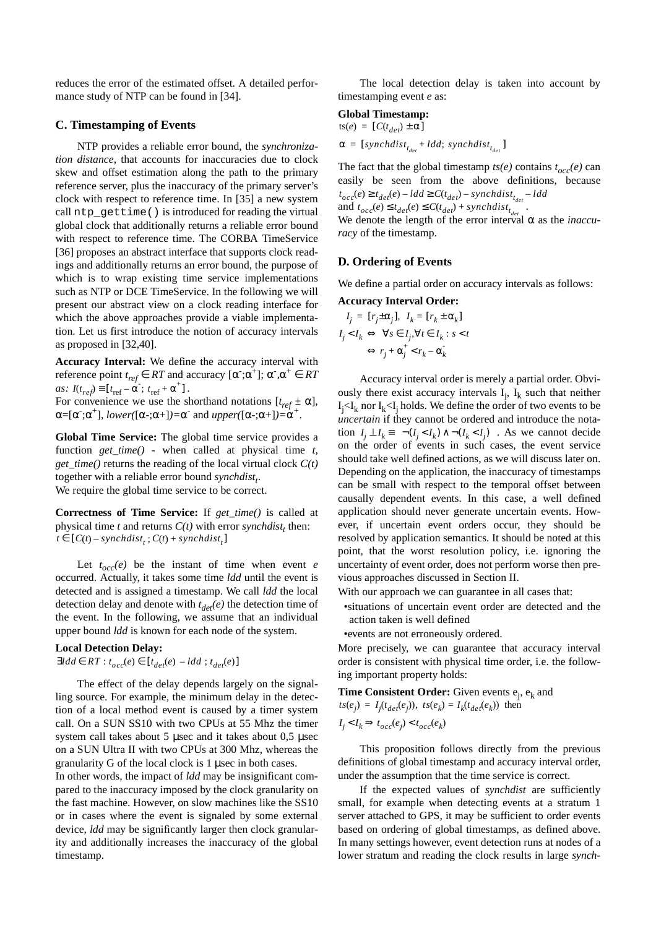reduces the error of the estimated offset. A detailed performance study of NTP can be found in [34].

# **C. Timestamping of Events**

NTP provides a reliable error bound, the *synchronization distance*, that accounts for inaccuracies due to clock skew and offset estimation along the path to the primary reference server, plus the inaccuracy of the primary server's clock with respect to reference time. In [35] a new system call ntp\_qettime() is introduced for reading the virtual global clock that additionally returns a reliable error bound with respect to reference time. The CORBA TimeService [36] proposes an abstract interface that supports clock readings and additionally returns an error bound, the purpose of which is to wrap existing time service implementations such as NTP or DCE TimeService. In the following we will present our abstract view on a clock reading interface for which the above approaches provide a viable implementation. Let us first introduce the notion of accuracy intervals as proposed in [32,40].

**Accuracy Interval:** We define the accuracy interval with reference point  $t_{ref} \in RT$  and accuracy  $[\alpha^*; \alpha^+]$ ;  $\alpha^*, \alpha^+ \in RT$ *as:*  $I(t_{ref}) \equiv [t_{ref} - \alpha]$ ;  $t_{ref} + \alpha^+$ ].

For convenience we use the shorthand notations  $[t_{ref} \pm \alpha]$ ,  $\alpha = [\alpha^{\dagger}; \alpha^{+}], \text{ lower}([\alpha^{\dagger}; \alpha^{+}]) = \alpha^{\dagger} \text{ and } \text{upper}([\alpha^{\dagger}; \alpha^{+}]) = \alpha^{+}.$ 

**Global Time Service:** The global time service provides a function *get\_time() -* when called at physical time *t*, *get\_time()* returns the reading of the local virtual clock *C(t)* together with a reliable error bound *synchdist t* .

We require the global time service to be correct.

**Correctness of Time Service:** If *get\_time()* is called at physical time *t* and returns  $C(t)$  with error *synchdist<sub>t</sub>* then:  $t \in [C(t) - synchdist_t; C(t) + synchdist_t]$ 

Let  $t_{\text{occ}}(e)$  be the instant of time when event *e* occurred. Actually, it takes some time *ldd* until the event is detected and is assigned a timestamp. We call *ldd* the local detection delay and denote with *tdet (e)* the detection time of the event. In the following, we assume that an individual upper bound *ldd* is known for each node of the system.

# **Local Detection Delay:**

 $\exists$ *ldd*  $\in RT$  :  $t_{occ}(e) \in [t_{det}(e) - ldd; t_{det}(e)]$ 

The effect of the delay depends largely on the signalling source. For example, the minimum delay in the detection of a local method event is caused by a timer system call. On a SUN SS10 with two CPUs at 55 Mhz the timer system call takes about 5 µsec and it takes about 0,5 µsec on a SUN Ultra II with two CPUs at 300 Mhz, whereas the granularity G of the local clock is 1 µsec in both cases.

In other words, the impact of *ldd* may be insignificant compared to the inaccuracy imposed by the clock granularity on the fast machine. However, on slow machines like the SS10 or in cases where the event is signaled by some external device, *ldd* may be significantly larger then clock granularity and additionally increases the inaccuracy of the global timestamp.

The local detection delay is taken into account by timestamping event *e* as:

**Global Timestamp:**  $\text{ts}(e) = [C(t_{det}) \pm \alpha]$  $\alpha = \left[ synchdist_{t_{det}} + ldd; synchdist_{t_{det}} \right]$ 

The fact that the global timestamp  $ts(e)$  contains  $t_{occ}(e)$  can easily be seen from the above definitions, because and  $t_{occ}(e) \le t_{def}(e) \le C(t_{det}) + synchdist_{t_{det}}$ .  $t_{occ}(e) \ge t_{det}(e) - l d d \ge C(t_{det}) - symbolist_{t_{det}} - l d d$ 

We denote the length of the error interval  $\alpha$  as the *inaccuracy* of the timestamp.

#### **D. Ordering of Events**

We define a partial order on accuracy intervals as follows:

#### **Accuracy Interval Order:**

$$
I_j = [r_j \pm \alpha_j], \ I_k = [r_k \pm \alpha_k]
$$
  

$$
I_j < I_k \Leftrightarrow \forall s \in I_j, \forall t \in I_k : s < t
$$
  

$$
\Leftrightarrow r_j + \alpha_j^+ < r_k - \alpha_k^-
$$

Accuracy interval order is merely a partial order. Obviously there exist accuracy intervals  $I_j$ ,  $I_k$  such that neither  $\mathrm{I}_\mathrm{j}\!\!<\!\!\mathrm{I}_\mathrm{k}$  nor  $\mathrm{I}_\mathrm{k}\!\!<\!\!\mathrm{I}_\mathrm{j}$  holds. We define the order of two events to be *uncertain* if they cannot be ordered and introduce the notation  $I_j \perp I_k = \neg (I_j < I_k) \land \neg (I_k < I_j)$ . As we cannot decide on the order of events in such cases, the event service should take well defined actions, as we will discuss later on. Depending on the application, the inaccuracy of timestamps can be small with respect to the temporal offset between causally dependent events. In this case, a well defined application should never generate uncertain events. However, if uncertain event orders occur, they should be resolved by application semantics. It should be noted at this point, that the worst resolution policy, i.e. ignoring the uncertainty of event order, does not perform worse then previous approaches discussed in Section II.

With our approach we can guarantee in all cases that:

•situations of uncertain event order are detected and the action taken is well defined

•events are not erroneously ordered.

More precisely, we can guarantee that accuracy interval order is consistent with physical time order, i.e. the following important property holds:

**Time Consistent Order:** Given events  $e_j$ ,  $e_k$  and  $ts(e_j) = I_j(t_{det}(e_j)), \text{ } ts(e_k) = I_k(t_{det}(e_k)) \text{ then}$  $I_j < I_k \Rightarrow t_{occ}(e_j) < t_{occ}(e_k)$ 

This proposition follows directly from the previous definitions of global timestamp and accuracy interval order, under the assumption that the time service is correct.

If the expected values of *synchdist* are sufficiently small, for example when detecting events at a stratum 1 server attached to GPS, it may be sufficient to order events based on ordering of global timestamps, as defined above. In many settings however, event detection runs at nodes of a lower stratum and reading the clock results in large *synch-*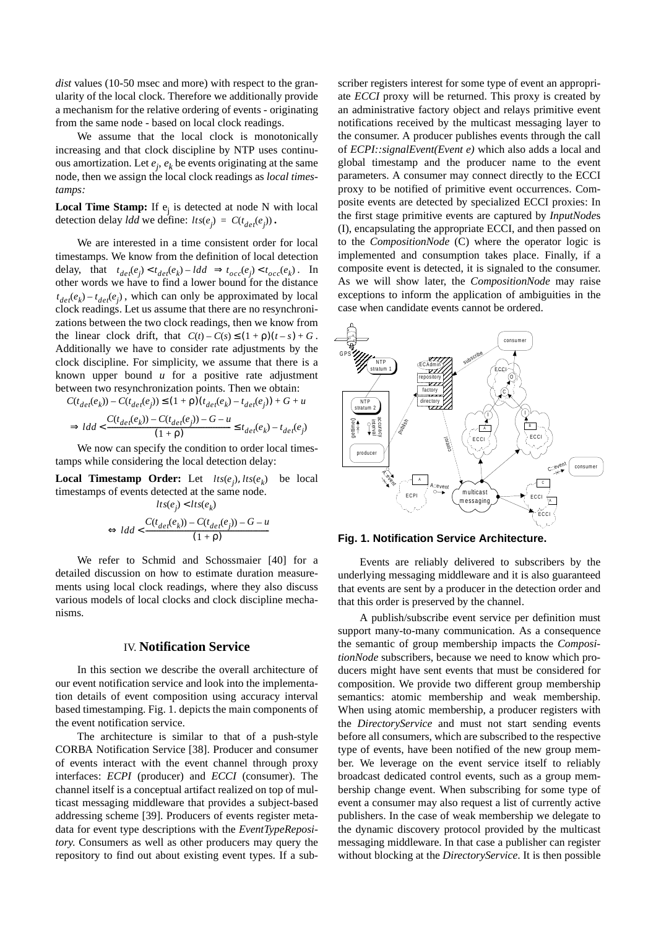*dist* values (10-50 msec and more) with respect to the granularity of the local clock. Therefore we additionally provide a mechanism for the relative ordering of events - originating from the same node - based on local clock readings.

We assume that the local clock is monotonically increasing and that clock discipline by NTP uses continuous amortization. Let *e<sup>j</sup>* , *e<sup>k</sup>* be events originating at the same node, then we assign the local clock readings as *local timestamps:*

**Local Time Stamp:** If  $e_j$  is detected at node N with local detection delay *ldd* we define:  $lts(e_j) = C(t_{def}(e_j))$ .

We are interested in a time consistent order for local timestamps. We know from the definition of local detection delay, that  $t_{def}(e_j) < t_{def}(e_k) - ldd \Rightarrow t_{occ}(e_j) < t_{occ}(e_k)$ . In other words we have to find a lower bound for the distance  $t_{def}(e_k) - t_{def}(e_j)$ , which can only be approximated by local clock readings. Let us assume that there are no resynchronizations between the two clock readings, then we know from the linear clock drift, that  $C(t) - C(s) \le (1 + \rho)(t - s) + G$ . Additionally we have to consider rate adjustments by the clock discipline. For simplicity, we assume that there is a known upper bound *u* for a positive rate adjustment between two resynchronization points. Then we obtain:

 $C(t_{det}(e_k)) - C(t_{det}(e_j)) \le (1 + \rho)(t_{det}(e_k) - t_{det}(e_j)) + G + u$ 

$$
\Rightarrow ldd < \frac{C(t_{det}(e_k)) - C(t_{det}(e_j)) - G - u}{(1 + \rho)} \le t_{det}(e_k) - t_{det}(e_j)
$$

We now can specify the condition to order local timestamps while considering the local detection delay:

**Local Timestamp Order:** Let  $_{lts(e_j)}$ ,  $_{lts(e_k)}$  be local timestamps of events detected at the same node.

$$
lts(e_j) < lts(e_k)
$$
\n
$$
\Leftrightarrow ldd < \frac{C(t_{det}(e_k)) - C(t_{det}(e_j)) - G - u}{(1 + \rho)}
$$

We refer to Schmid and Schossmaier [40] for a detailed discussion on how to estimate duration measurements using local clock readings, where they also discuss various models of local clocks and clock discipline mechanisms.

## IV. **Notification Service**

In this section we describe the overall architecture of our event notification service and look into the implementation details of event composition using accuracy interval based timestamping. Fig. 1. depicts the main components of the event notification service.

The architecture is similar to that of a push-style CORBA Notification Service [38]. Producer and consumer of events interact with the event channel through proxy interfaces: *ECPI* (producer) and *ECCI* (consumer). The channel itself is a conceptual artifact realized on top of multicast messaging middleware that provides a subject-based addressing scheme [39]. Producers of events register metadata for event type descriptions with the *EventTypeRepository*. Consumers as well as other producers may query the repository to find out about existing event types. If a subscriber registers interest for some type of event an appropriate *ECCI* proxy will be returned. This proxy is created by an administrative factory object and relays primitive event notifications received by the multicast messaging layer to the consumer. A producer publishes events through the call of *ECPI::signalEvent(Event e)* which also adds a local and global timestamp and the producer name to the event parameters. A consumer may connect directly to the ECCI proxy to be notified of primitive event occurrences. Composite events are detected by specialized ECCI proxies: In the first stage primitive events are captured by *InputNode*s (I), encapsulating the appropriate ECCI, and then passed on to the *CompositionNode* (C) where the operator logic is implemented and consumption takes place. Finally, if a composite event is detected, it is signaled to the consumer. As we will show later, the *CompositionNode* may raise exceptions to inform the application of ambiguities in the case when candidate events cannot be ordered.





Events are reliably delivered to subscribers by the underlying messaging middleware and it is also guaranteed that events are sent by a producer in the detection order and that this order is preserved by the channel.

A publish/subscribe event service per definition must support many-to-many communication. As a consequence the semantic of group membership impacts the *CompositionNode* subscribers, because we need to know which producers might have sent events that must be considered for composition. We provide two different group membership semantics: atomic membership and weak membership. When using atomic membership, a producer registers with the *DirectoryService* and must not start sending events before all consumers, which are subscribed to the respective type of events, have been notified of the new group member. We leverage on the event service itself to reliably broadcast dedicated control events, such as a group membership change event. When subscribing for some type of event a consumer may also request a list of currently active publishers. In the case of weak membership we delegate to the dynamic discovery protocol provided by the multicast messaging middleware. In that case a publisher can register without blocking at the *DirectoryService*. It is then possible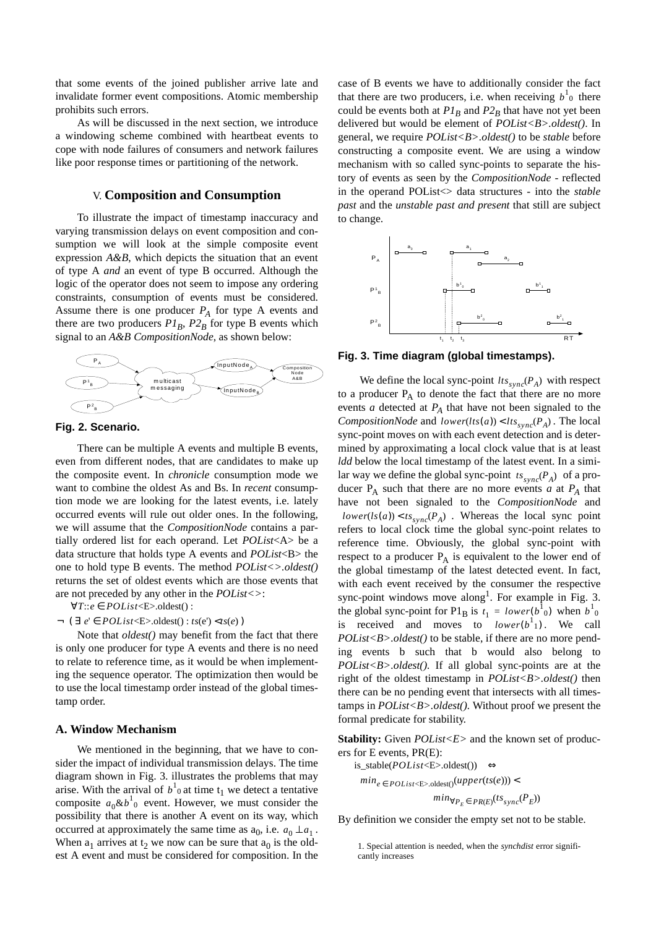that some events of the joined publisher arrive late and invalidate former event compositions. Atomic membership prohibits such errors.

As will be discussed in the next section, we introduce a windowing scheme combined with heartbeat events to cope with node failures of consumers and network failures like poor response times or partitioning of the network.

## V. **Composition and Consumption**

To illustrate the impact of timestamp inaccuracy and varying transmission delays on event composition and consumption we will look at the simple composite event expression *A&B*, which depicts the situation that an event of type A *and* an event of type B occurred. Although the logic of the operator does not seem to impose any ordering constraints, consumption of events must be considered. Assume there is one producer *P<sup>A</sup>* for type A events and there are two producers  $PI_B$ ,  $P2_B$  for type B events which signal to an *A&B CompositionNode*, as shown below:



# **Fig. 2. Scenario.**

There can be multiple A events and multiple B events, even from different nodes, that are candidates to make up the composite event. In *chronicle* consumption mode we want to combine the oldest As and Bs. In *recent* consumption mode we are looking for the latest events, i.e. lately occurred events will rule out older ones. In the following, we will assume that the *CompositionNode* contains a partially ordered list for each operand. Let *POList*<A> be a data structure that holds type A events and *POList*<B> the one to hold type B events. The method *POList<>.oldest()* returns the set of oldest events which are those events that are not preceded by any other in the *POList<>*:

∀*T*::*e* ∈ *POList*<E>.oldest() :

¬ ( ∃ *e*' ∈ *POList*<E>.oldest() : *ts*(e') <*ts*(*e*) )

Note that *oldest()* may benefit from the fact that there is only one producer for type A events and there is no need to relate to reference time, as it would be when implementing the sequence operator. The optimization then would be to use the local timestamp order instead of the global timestamp order.

# **A. Window Mechanism**

We mentioned in the beginning, that we have to consider the impact of individual transmission delays. The time diagram shown in Fig. 3. illustrates the problems that may arise. With the arrival of  $b^1$ <sub>0</sub> at time t<sub>1</sub> we detect a tentative composite  $a_0 \& b_0^1$  event. However, we must consider the possibility that there is another A event on its way, which occurred at approximately the same time as  $a_0$ , i.e.  $a_0 \perp a_1$ . When  $a_1$  arrives at  $t_2$  we now can be sure that  $a_0$  is the oldest A event and must be considered for composition. In the

case of B events we have to additionally consider the fact that there are two producers, i.e. when receiving  $b^1$ <sup>0</sup> there could be events both at *P1<sup>B</sup>* and *P2<sup>B</sup>* that have not yet been delivered but would be element of *POList<B>.oldest()*. In general, we require *POList<B>.oldest()* to be *stable* before constructing a composite event. We are using a window mechanism with so called sync-points to separate the history of events as seen by the *CompositionNode* - reflected in the operand POList<> data structures - into the *stable past* and the *unstable past and present* that still are subject to change.



**Fig. 3. Time diagram (global timestamps).**

We define the local sync-point  $lts_{sync}(P_A)$  with respect to a producer  $P_A$  to denote the fact that there are no more events *a* detected at *P<sup>A</sup>* that have not been signaled to the *CompositionNode* and *lower*(*lts*(*a*))  $<$  *lts*<sub>*sync*</sub>(*P<sub>A</sub>*). The local sync-point moves on with each event detection and is determined by approximating a local clock value that is at least *ldd* below the local timestamp of the latest event. In a similar way we define the global sync-point  $ts_{sync}(P_A)$  of a producer  $P_A$  such that there are no more events *a* at  $P_A$  that have not been signaled to the *CompositionNode* and *lower*(*ls*(*a*))  $lt$  *ts*<sub>*sync*</sub>(*P<sub>A</sub>*). Whereas the local sync point refers to local clock time the global sync-point relates to reference time. Obviously, the global sync-point with respect to a producer  $P_A$  is equivalent to the lower end of the global timestamp of the latest detected event. In fact, with each event received by the consumer the respective sync-point windows move along<sup>1</sup>. For example in Fig. 3. the global sync-point for P1<sub>B</sub> is  $t_1 = lower(b^1_0)$  when is received and moves to  $lower(b<sup>1</sup>1)$ . We call *POList<B>.oldest()* to be stable, if there are no more pending events b such that b would also belong to *POList<B>.oldest().* If all global sync-points are at the right of the oldest timestamp in *POList<B>.oldest()* then there can be no pending event that intersects with all timestamps in *POList<B>.oldest().* Without proof we present the formal predicate for stability*.*  $t_1 = lower(b^1_0)$  when  $b^1_0$  $lower(b^1_1)$ 

**Stability:** Given *POList<E>* and the known set of producers for E events, PR(E):

is\_stable( $POList \leq E$ >.oldest()) ⇔

 $min_{e \in POList \leq E > .} (upper(ts(e))) <$ 

 $min_{\forall P_E \in PR(E)} (ts_{sync}(P_E))$ 

By definition we consider the empty set not to be stable.

<sup>1.</sup> Special attention is needed, when the *synchdist* error significantly increases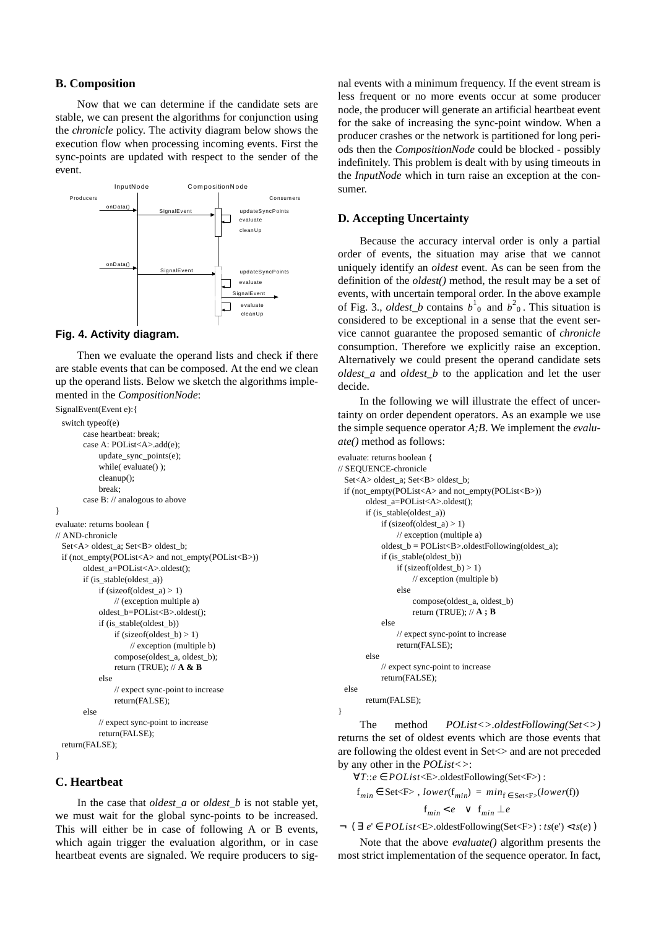# **B. Composition**

Now that we can determine if the candidate sets are stable, we can present the algorithms for conjunction using the *chronicle* policy. The activity diagram below shows the execution flow when processing incoming events. First the sync-points are updated with respect to the sender of the event.



# **Fig. 4. Activity diagram.**

Then we evaluate the operand lists and check if there are stable events that can be composed. At the end we clean up the operand lists. Below we sketch the algorithms implemented in the *CompositionNode*:

```
SignalEvent(Event e):{
 switch typeof(e)
       case heartbeat: break;
       case A: POList<A>.add(e);
            update_sync_points(e);
            while( evaluate() );
            cleanup();
            break;
       case B: // analogous to above
}
evaluate: returns boolean {
// AND-chronicle
 Set<A> oldest_a; Set<B> oldest_b;
 if (not_empty(POList<A> and not_empty(POList<B>))
       oldest_a=POList<A>.oldest();
       if (is stable(oldest a))
            if (sizeof (oldest_a) > 1)// (exception multiple a)
            oldest_b=POList<B>.oldest();
            if (is_stable(oldest_b))
                if (sizeof(oldest b) > 1)
                    // exception (multiple b)
                compose(oldest_a, oldest_b);
                return (TRUE); // A & B
            else
                // expect sync-point to increase
                return(FALSE);
       else
            // expect sync-point to increase
            return(FALSE);
 return(FALSE);
}
```
#### **C. Heartbeat**

In the case that *oldest* a or *oldest* b is not stable yet, we must wait for the global sync-points to be increased. This will either be in case of following A or B events, which again trigger the evaluation algorithm, or in case heartbeat events are signaled. We require producers to signal events with a minimum frequency. If the event stream is less frequent or no more events occur at some producer node, the producer will generate an artificial heartbeat event for the sake of increasing the sync-point window. When a producer crashes or the network is partitioned for long periods then the *CompositionNode* could be blocked - possibly indefinitely. This problem is dealt with by using timeouts in the *InputNode* which in turn raise an exception at the consumer.

#### **D. Accepting Uncertainty**

Because the accuracy interval order is only a partial order of events, the situation may arise that we cannot uniquely identify an *oldest* event. As can be seen from the definition of the *oldest()* method, the result may be a set of events, with uncertain temporal order. In the above example of Fig. 3., *oldest\_b* contains  $b^1$ <sub>0</sub> and  $b^2$ <sub>0</sub>. This situation is considered to be exceptional in a sense that the event service cannot guarantee the proposed semantic of *chronicle* consumption. Therefore we explicitly raise an exception. Alternatively we could present the operand candidate sets *oldest\_a* and *oldest\_b* to the application and let the user decide.

In the following we will illustrate the effect of uncertainty on order dependent operators. As an example we use the simple sequence operator *A;B*. We implement the *evaluate()* method as follows:

```
evaluate: returns boolean {
// SEQUENCE-chronicle
 Set<A> oldest a; Set<B> oldest b;
 if (not_empty(POList<A> and not_empty(POList<B>))
        oldest_a=POList<A>.oldest();
        if (is_stable(oldest_a))
            if (sizeof(oldest_a) > 1)
                // exception (multiple a)
            oldest_b = POList < B > .oldestFollowing (oldest_a);if (is_stable(oldest_b))
                if (sizeof (oldest_b) > 1)// exception (multiple b)
                else
                     compose(oldest_a, oldest_b)
                     return (TRUE); // A ; B
            else
                // expect sync-point to increase
                return(FALSE);
        else
            // expect sync-point to increase
            return(FALSE);
 else
        return(FALSE);
```
The method *POList<>.oldestFollowing(Set<>)* returns the set of oldest events which are those events that are following the oldest event in Set<> and are not preceded by any other in the *POList<>*:

}

∀*T*::*e* ∈ *POList*<E>.oldestFollowing(Set<F>) :  $f_{min} \in \text{Set} \langle F \rangle$ ,  $lower(f_{min}) = min_{f \in \text{Set} \langle F \rangle}(lower(f))$  $f_{min} < e \quad \vee \quad f_{min} \perp e$ 

¬ ( ∃ *e*' ∈ *POList*<E>.oldestFollowing(Set<F>) : *ts*(e') <*ts*(*e*) )

Note that the above *evaluate()* algorithm presents the most strict implementation of the sequence operator. In fact,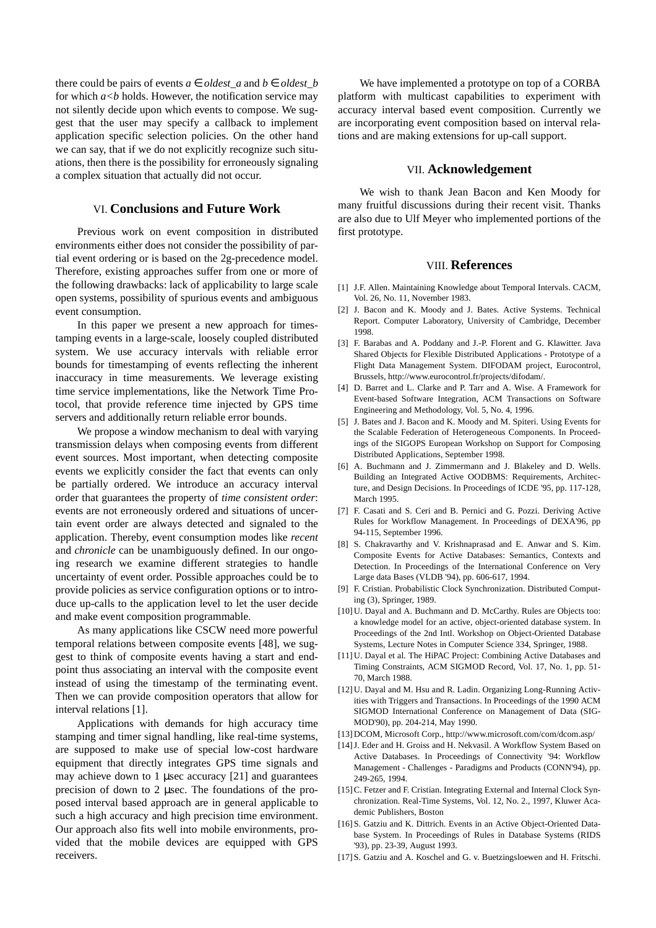there could be pairs of events  $a \in oldest{a}$  and  $b \in oldest{b}$ for which  $a < b$  holds. However, the notification service may not silently decide upon which events to compose. We suggest that the user may specify a callback to implement application specific selection policies. On the other hand we can say, that if we do not explicitly recognize such situations, then there is the possibility for erroneously signaling a complex situation that actually did not occur.

#### VI. **Conclusions and Future Work**

Previous work on event composition in distributed environments either does not consider the possibility of partial event ordering or is based on the 2g-precedence model. Therefore, existing approaches suffer from one or more of the following drawbacks: lack of applicability to large scale open systems, possibility of spurious events and ambiguous event consumption.

In this paper we present a new approach for timestamping events in a large-scale, loosely coupled distributed system. We use accuracy intervals with reliable error bounds for timestamping of events reflecting the inherent inaccuracy in time measurements. We leverage existing time service implementations, like the Network Time Protocol, that provide reference time injected by GPS time servers and additionally return reliable error bounds.

We propose a window mechanism to deal with varying transmission delays when composing events from different event sources. Most important, when detecting composite events we explicitly consider the fact that events can only be partially ordered. We introduce an accuracy interval order that guarantees the property of *time consistent order*: events are not erroneously ordered and situations of uncertain event order are always detected and signaled to the application. Thereby, event consumption modes like *recent* and *chronicle* can be unambiguously defined. In our ongoing research we examine different strategies to handle uncertainty of event order. Possible approaches could be to provide policies as service configuration options or to introduce up-calls to the application level to let the user decide and make event composition programmable.

As many applications like CSCW need more powerful temporal relations between composite events [48], we suggest to think of composite events having a start and endpoint thus associating an interval with the composite event instead of using the timestamp of the terminating event. Then we can provide composition operators that allow for interval relations [1].

Applications with demands for high accuracy time stamping and timer signal handling, like real-time systems, are supposed to make use of special low-cost hardware equipment that directly integrates GPS time signals and may achieve down to 1 µsec accuracy  $[21]$  and guarantees precision of down to 2 µsec. The foundations of the proposed interval based approach are in general applicable to such a high accuracy and high precision time environment. Our approach also fits well into mobile environments, provided that the mobile devices are equipped with GPS receivers.

We have implemented a prototype on top of a CORBA platform with multicast capabilities to experiment with accuracy interval based event composition. Currently we are incorporating event composition based on interval relations and are making extensions for up-call support.

## VII. **Acknowledgement**

We wish to thank Jean Bacon and Ken Moody for many fruitful discussions during their recent visit. Thanks are also due to Ulf Meyer who implemented portions of the first prototype.

#### VIII. **References**

- [1] J.F. Allen. Maintaining Knowledge about Temporal Intervals. CACM, Vol. 26, No. 11, November 1983.
- [2] J. Bacon and K. Moody and J. Bates. Active Systems. Technical Report. Computer Laboratory, University of Cambridge, December 1998.
- [3] F. Barabas and A. Poddany and J.-P. Florent and G. Klawitter. Java Shared Objects for Flexible Distributed Applications - Prototype of a Flight Data Management System. DIFODAM project, Eurocontrol, Brussels, http://www.eurocontrol.fr/projects/difodam/.
- [4] D. Barret and L. Clarke and P. Tarr and A. Wise. A Framework for Event-based Software Integration, ACM Transactions on Software Engineering and Methodology, Vol. 5, No. 4, 1996.
- [5] J. Bates and J. Bacon and K. Moody and M. Spiteri. Using Events for the Scalable Federation of Heterogeneous Components. In Proceedings of the SIGOPS European Workshop on Support for Composing Distributed Applications, September 1998.
- [6] A. Buchmann and J. Zimmermann and J. Blakeley and D. Wells. Building an Integrated Active OODBMS: Requirements, Architecture, and Design Decisions. In Proceedings of ICDE '95, pp. 117-128, March 1995.
- [7] F. Casati and S. Ceri and B. Pernici and G. Pozzi. Deriving Active Rules for Workflow Management. In Proceedings of DEXA'96, pp 94-115, September 1996.
- [8] S. Chakravarthy and V. Krishnaprasad and E. Anwar and S. Kim. Composite Events for Active Databases: Semantics, Contexts and Detection. In Proceedings of the International Conference on Very Large data Bases (VLDB '94), pp. 606-617, 1994.
- [9] F. Cristian. Probabilistic Clock Synchronization. Distributed Computing (3), Springer, 1989.
- [10] U. Dayal and A. Buchmann and D. McCarthy. Rules are Objects too: a knowledge model for an active, object-oriented database system. In Proceedings of the 2nd Intl. Workshop on Object-Oriented Database Systems, Lecture Notes in Computer Science 334, Springer, 1988.
- [11]U. Dayal et al. The HiPAC Project: Combining Active Databases and Timing Constraints, ACM SIGMOD Record, Vol. 17, No. 1, pp. 51- 70, March 1988.
- [12]U. Dayal and M. Hsu and R. Ladin. Organizing Long-Running Activities with Triggers and Transactions. In Proceedings of the 1990 ACM SIGMOD International Conference on Management of Data (SIG-MOD'90), pp. 204-214, May 1990.
- [13]DCOM, Microsoft Corp., http://www.microsoft.com/com/dcom.asp/
- [14] J. Eder and H. Groiss and H. Nekvasil. A Workflow System Based on Active Databases. In Proceedings of Connectivity '94: Workflow Management - Challenges - Paradigms and Products (CONN'94), pp. 249-265, 1994.
- [15]C. Fetzer and F. Cristian. Integrating External and Internal Clock Synchronization. Real-Time Systems, Vol. 12, No. 2., 1997, Kluwer Academic Publishers, Boston
- [16]S. Gatziu and K. Dittrich. Events in an Active Object-Oriented Database System. In Proceedings of Rules in Database Systems (RIDS '93), pp. 23-39, August 1993.
- [17]S. Gatziu and A. Koschel and G. v. Buetzingsloewen and H. Fritschi.